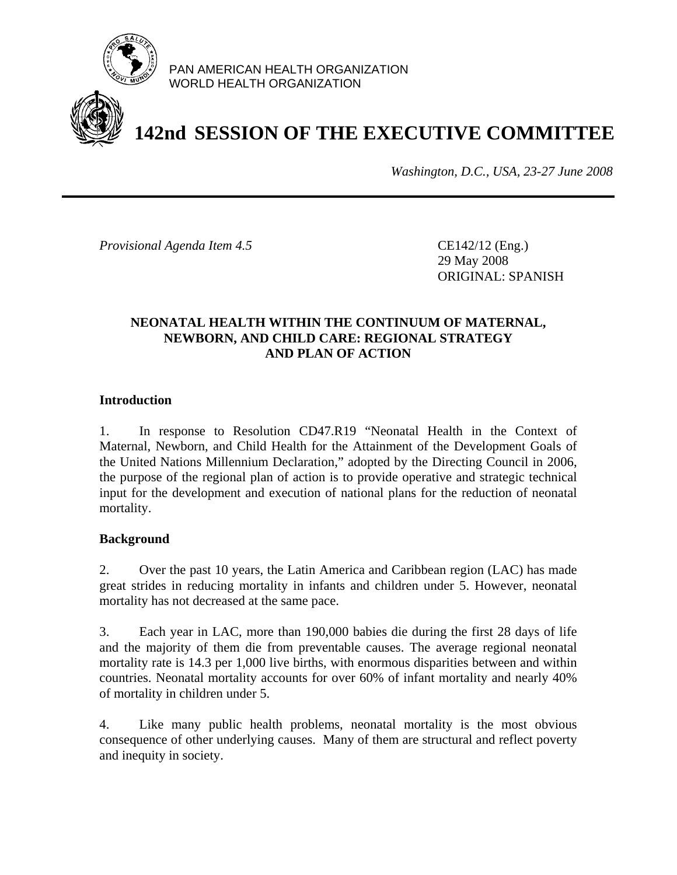

PAN AMERICAN HEALTH ORGANIZATION WORLD HEALTH ORGANIZATION

# **142nd SESSION OF THE EXECUTIVE COMMITTEE**

*Washington, D.C., USA, 23-27 June 2008*

*Provisional Agenda Item 4.5* CE142/12 (Eng.)

 29 May 2008 ORIGINAL: SPANISH

#### **NEONATAL HEALTH WITHIN THE CONTINUUM OF MATERNAL, NEWBORN, AND CHILD CARE: REGIONAL STRATEGY AND PLAN OF ACTION**

## **Introduction**

1. In response to Resolution CD47.R19 "Neonatal Health in the Context of Maternal, Newborn, and Child Health for the Attainment of the Development Goals of the United Nations Millennium Declaration," adopted by the Directing Council in 2006, the purpose of the regional plan of action is to provide operative and strategic technical input for the development and execution of national plans for the reduction of neonatal mortality.

#### **Background**

2. Over the past 10 years, the Latin America and Caribbean region (LAC) has made great strides in reducing mortality in infants and children under 5. However, neonatal mortality has not decreased at the same pace.

3. Each year in LAC, more than 190,000 babies die during the first 28 days of life and the majority of them die from preventable causes. The average regional neonatal mortality rate is 14.3 per 1,000 live births, with enormous disparities between and within countries. Neonatal mortality accounts for over 60% of infant mortality and nearly 40% of mortality in children under 5.

4. Like many public health problems, neonatal mortality is the most obvious consequence of other underlying causes. Many of them are structural and reflect poverty and inequity in society.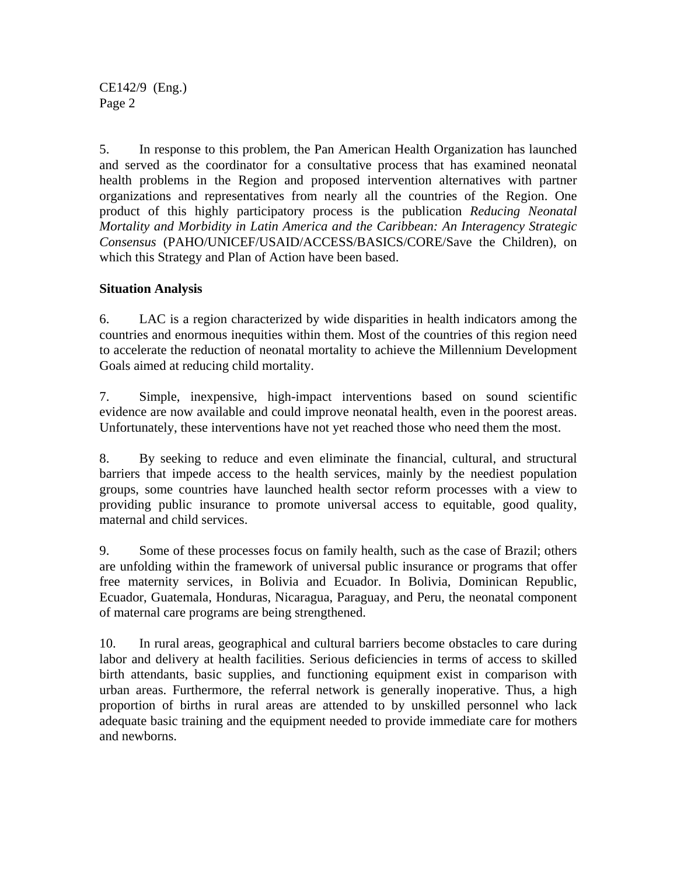CE142/9 (Eng.) Page 2

5. In response to this problem, the Pan American Health Organization has launched and served as the coordinator for a consultative process that has examined neonatal health problems in the Region and proposed intervention alternatives with partner organizations and representatives from nearly all the countries of the Region. One product of this highly participatory process is the publication *Reducing Neonatal Mortality and Morbidity in Latin America and the Caribbean: An Interagency Strategic Consensus* (PAHO/UNICEF/USAID/ACCESS/BASICS/CORE/Save the Children), on which this Strategy and Plan of Action have been based.

## **Situation Analysis**

6. LAC is a region characterized by wide disparities in health indicators among the countries and enormous inequities within them. Most of the countries of this region need to accelerate the reduction of neonatal mortality to achieve the Millennium Development Goals aimed at reducing child mortality.

7. Simple, inexpensive, high-impact interventions based on sound scientific evidence are now available and could improve neonatal health, even in the poorest areas. Unfortunately, these interventions have not yet reached those who need them the most.

8. By seeking to reduce and even eliminate the financial, cultural, and structural barriers that impede access to the health services, mainly by the neediest population groups, some countries have launched health sector reform processes with a view to providing public insurance to promote universal access to equitable, good quality, maternal and child services.

9. Some of these processes focus on family health, such as the case of Brazil; others are unfolding within the framework of universal public insurance or programs that offer free maternity services, in Bolivia and Ecuador. In Bolivia, Dominican Republic, Ecuador, Guatemala, Honduras, Nicaragua, Paraguay, and Peru, the neonatal component of maternal care programs are being strengthened.

10. In rural areas, geographical and cultural barriers become obstacles to care during labor and delivery at health facilities. Serious deficiencies in terms of access to skilled birth attendants, basic supplies, and functioning equipment exist in comparison with urban areas. Furthermore, the referral network is generally inoperative. Thus, a high proportion of births in rural areas are attended to by unskilled personnel who lack adequate basic training and the equipment needed to provide immediate care for mothers and newborns.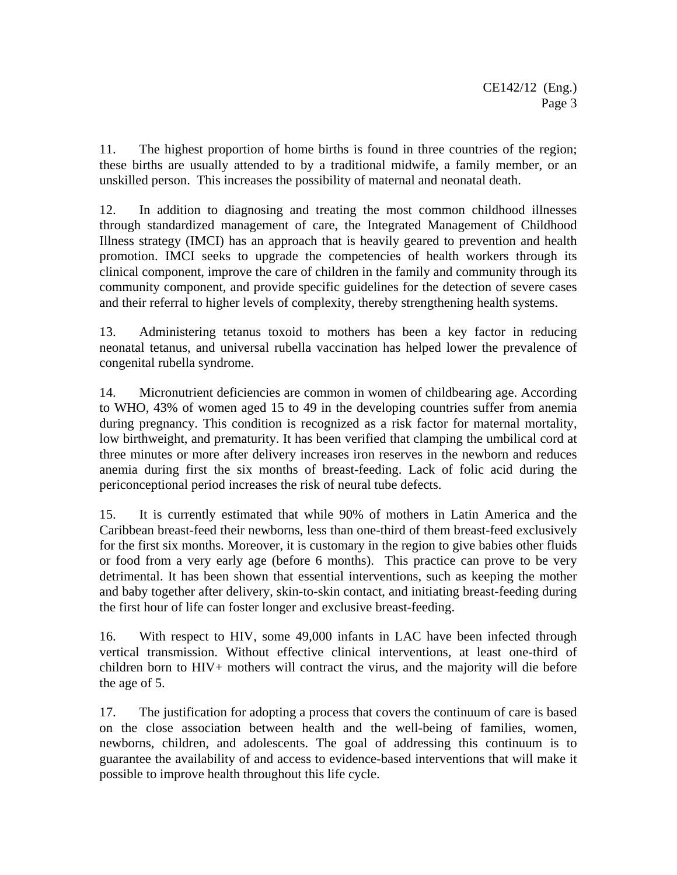11. The highest proportion of home births is found in three countries of the region; these births are usually attended to by a traditional midwife, a family member, or an unskilled person. This increases the possibility of maternal and neonatal death.

12. In addition to diagnosing and treating the most common childhood illnesses through standardized management of care, the Integrated Management of Childhood Illness strategy (IMCI) has an approach that is heavily geared to prevention and health promotion. IMCI seeks to upgrade the competencies of health workers through its clinical component, improve the care of children in the family and community through its community component, and provide specific guidelines for the detection of severe cases and their referral to higher levels of complexity, thereby strengthening health systems.

13. Administering tetanus toxoid to mothers has been a key factor in reducing neonatal tetanus, and universal rubella vaccination has helped lower the prevalence of congenital rubella syndrome.

14. Micronutrient deficiencies are common in women of childbearing age. According to WHO, 43% of women aged 15 to 49 in the developing countries suffer from anemia during pregnancy. This condition is recognized as a risk factor for maternal mortality, low birthweight, and prematurity. It has been verified that clamping the umbilical cord at three minutes or more after delivery increases iron reserves in the newborn and reduces anemia during first the six months of breast-feeding. Lack of folic acid during the periconceptional period increases the risk of neural tube defects.

15. It is currently estimated that while 90% of mothers in Latin America and the Caribbean breast-feed their newborns, less than one-third of them breast-feed exclusively for the first six months. Moreover, it is customary in the region to give babies other fluids or food from a very early age (before 6 months). This practice can prove to be very detrimental. It has been shown that essential interventions, such as keeping the mother and baby together after delivery, skin-to-skin contact, and initiating breast-feeding during the first hour of life can foster longer and exclusive breast-feeding.

16. With respect to HIV, some 49,000 infants in LAC have been infected through vertical transmission. Without effective clinical interventions, at least one-third of children born to HIV+ mothers will contract the virus, and the majority will die before the age of 5.

17. The justification for adopting a process that covers the continuum of care is based on the close association between health and the well-being of families, women, newborns, children, and adolescents. The goal of addressing this continuum is to guarantee the availability of and access to evidence-based interventions that will make it possible to improve health throughout this life cycle.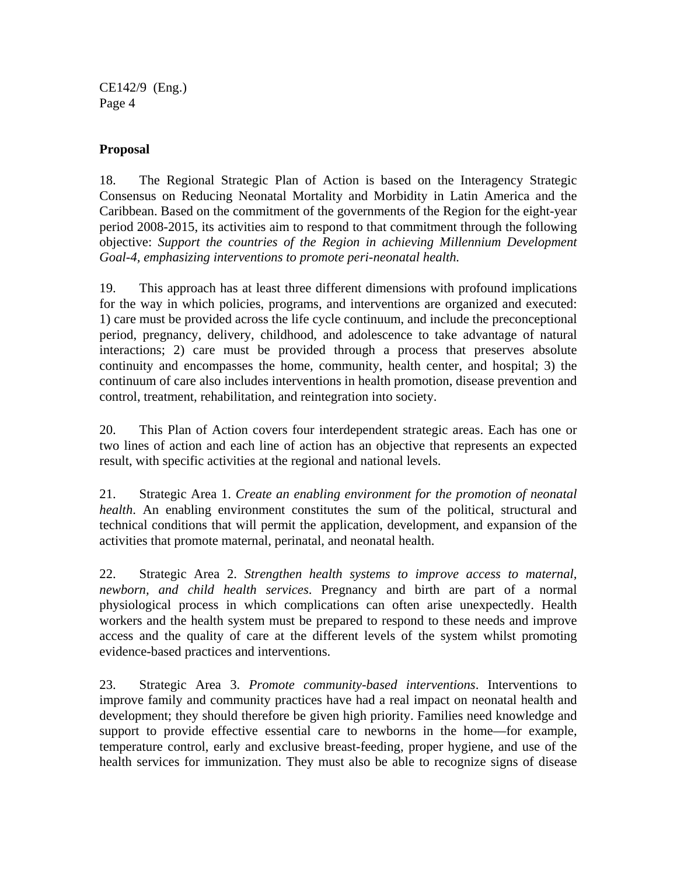CE142/9 (Eng.) Page 4

#### **Proposal**

18. The Regional Strategic Plan of Action is based on the Interagency Strategic Consensus on Reducing Neonatal Mortality and Morbidity in Latin America and the Caribbean. Based on the commitment of the governments of the Region for the eight-year period 2008-2015, its activities aim to respond to that commitment through the following objective: *Support the countries of the Region in achieving Millennium Development Goal-4, emphasizing interventions to promote peri-neonatal health.* 

19. This approach has at least three different dimensions with profound implications for the way in which policies, programs, and interventions are organized and executed: 1) care must be provided across the life cycle continuum, and include the preconceptional period, pregnancy, delivery, childhood, and adolescence to take advantage of natural interactions; 2) care must be provided through a process that preserves absolute continuity and encompasses the home, community, health center, and hospital; 3) the continuum of care also includes interventions in health promotion, disease prevention and control, treatment, rehabilitation, and reintegration into society.

20. This Plan of Action covers four interdependent strategic areas. Each has one or two lines of action and each line of action has an objective that represents an expected result, with specific activities at the regional and national levels.

21. Strategic Area 1. *Create an enabling environment for the promotion of neonatal health*. An enabling environment constitutes the sum of the political, structural and technical conditions that will permit the application, development, and expansion of the activities that promote maternal, perinatal, and neonatal health.

22. Strategic Area 2. *Strengthen health systems to improve access to maternal, newborn, and child health services*. Pregnancy and birth are part of a normal physiological process in which complications can often arise unexpectedly. Health workers and the health system must be prepared to respond to these needs and improve access and the quality of care at the different levels of the system whilst promoting evidence-based practices and interventions.

23. Strategic Area 3. *Promote community-based interventions*. Interventions to improve family and community practices have had a real impact on neonatal health and development; they should therefore be given high priority. Families need knowledge and support to provide effective essential care to newborns in the home—for example, temperature control, early and exclusive breast-feeding, proper hygiene, and use of the health services for immunization. They must also be able to recognize signs of disease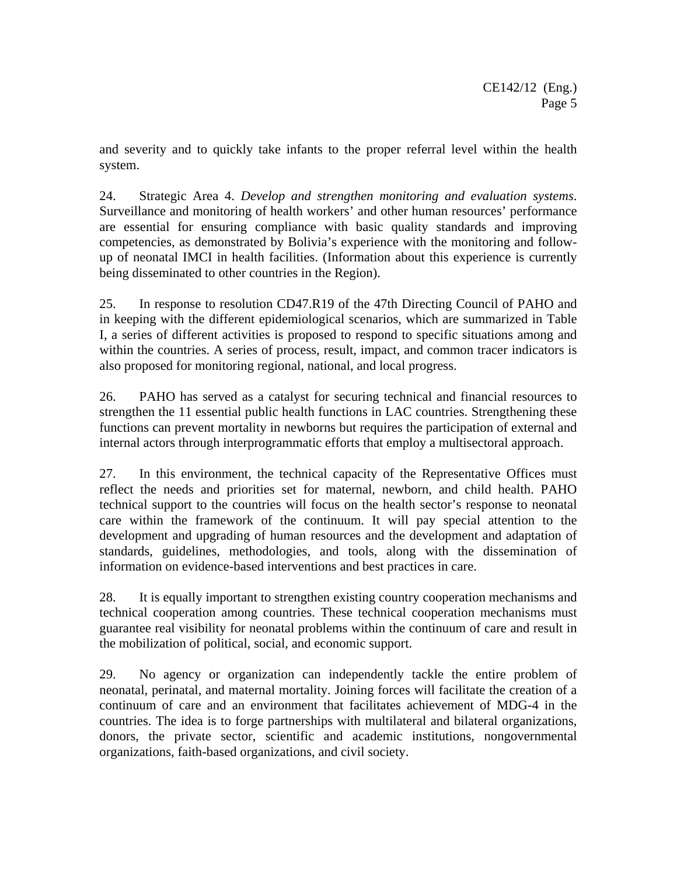and severity and to quickly take infants to the proper referral level within the health system.

24. Strategic Area 4. *Develop and strengthen monitoring and evaluation systems*. Surveillance and monitoring of health workers' and other human resources' performance are essential for ensuring compliance with basic quality standards and improving competencies, as demonstrated by Bolivia's experience with the monitoring and followup of neonatal IMCI in health facilities. (Information about this experience is currently being disseminated to other countries in the Region).

25. In response to resolution CD47.R19 of the 47th Directing Council of PAHO and in keeping with the different epidemiological scenarios, which are summarized in Table I, a series of different activities is proposed to respond to specific situations among and within the countries. A series of process, result, impact, and common tracer indicators is also proposed for monitoring regional, national, and local progress.

26. PAHO has served as a catalyst for securing technical and financial resources to strengthen the 11 essential public health functions in LAC countries. Strengthening these functions can prevent mortality in newborns but requires the participation of external and internal actors through interprogrammatic efforts that employ a multisectoral approach.

27. In this environment, the technical capacity of the Representative Offices must reflect the needs and priorities set for maternal, newborn, and child health. PAHO technical support to the countries will focus on the health sector's response to neonatal care within the framework of the continuum. It will pay special attention to the development and upgrading of human resources and the development and adaptation of standards, guidelines, methodologies, and tools, along with the dissemination of information on evidence-based interventions and best practices in care.

28. It is equally important to strengthen existing country cooperation mechanisms and technical cooperation among countries. These technical cooperation mechanisms must guarantee real visibility for neonatal problems within the continuum of care and result in the mobilization of political, social, and economic support.

29. No agency or organization can independently tackle the entire problem of neonatal, perinatal, and maternal mortality. Joining forces will facilitate the creation of a continuum of care and an environment that facilitates achievement of MDG-4 in the countries. The idea is to forge partnerships with multilateral and bilateral organizations, donors, the private sector, scientific and academic institutions, nongovernmental organizations, faith-based organizations, and civil society.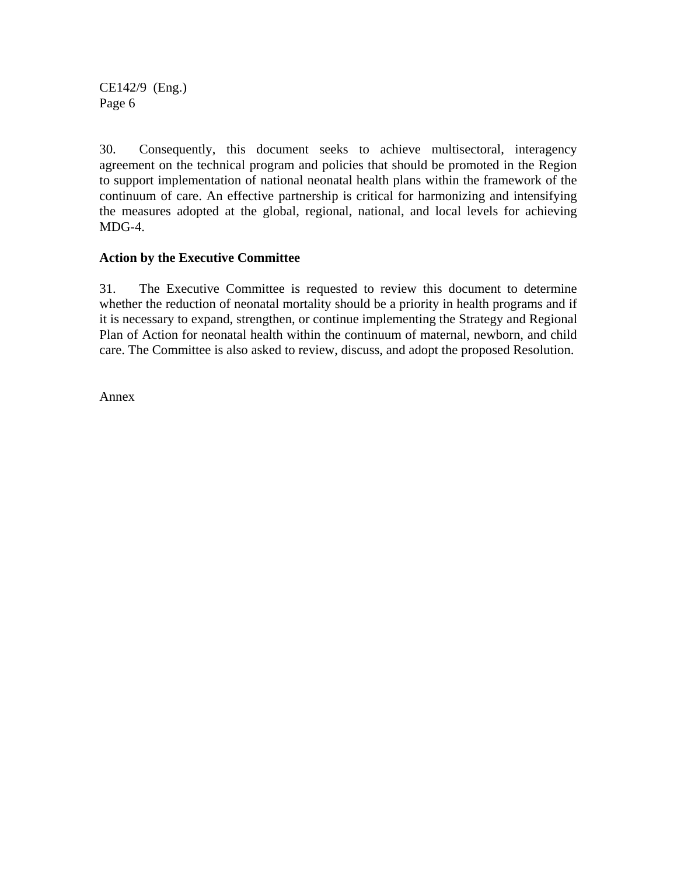CE142/9 (Eng.) Page 6

30. Consequently, this document seeks to achieve multisectoral, interagency agreement on the technical program and policies that should be promoted in the Region to support implementation of national neonatal health plans within the framework of the continuum of care. An effective partnership is critical for harmonizing and intensifying the measures adopted at the global, regional, national, and local levels for achieving MDG-4.

#### **Action by the Executive Committee**

31. The Executive Committee is requested to review this document to determine whether the reduction of neonatal mortality should be a priority in health programs and if it is necessary to expand, strengthen, or continue implementing the Strategy and Regional Plan of Action for neonatal health within the continuum of maternal, newborn, and child care. The Committee is also asked to review, discuss, and adopt the proposed Resolution.

Annex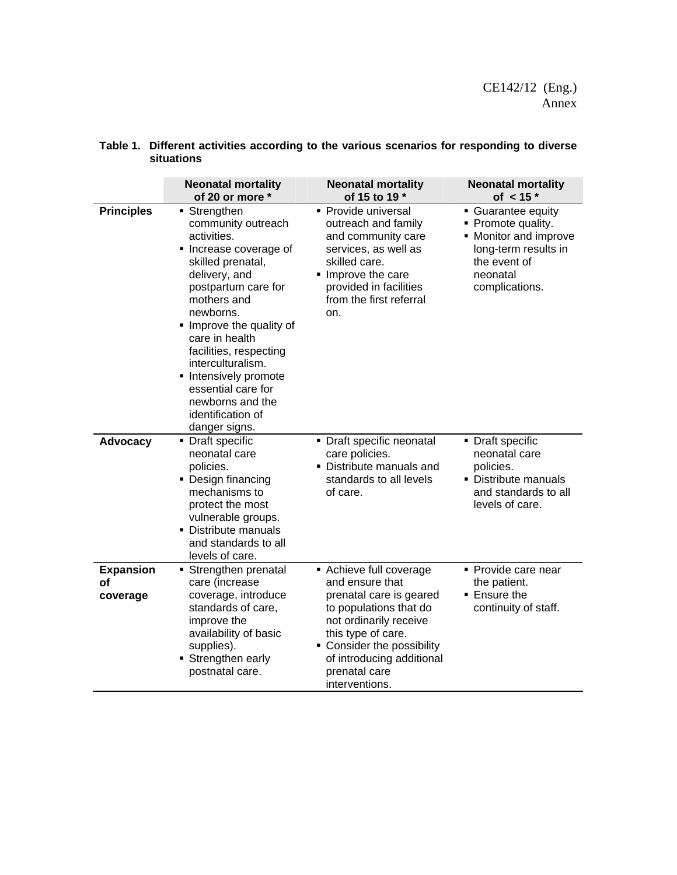|                                    | <b>Neonatal mortality</b><br>of 20 or more *                                                                                                                                                                                                                                                                                                                               | <b>Neonatal mortality</b><br>of 15 to 19 *                                                                                                                                                                                                  | <b>Neonatal mortality</b><br>of $< 15$ *                                                                                              |
|------------------------------------|----------------------------------------------------------------------------------------------------------------------------------------------------------------------------------------------------------------------------------------------------------------------------------------------------------------------------------------------------------------------------|---------------------------------------------------------------------------------------------------------------------------------------------------------------------------------------------------------------------------------------------|---------------------------------------------------------------------------------------------------------------------------------------|
| <b>Principles</b>                  | ■ Strengthen<br>community outreach<br>activities.<br>• Increase coverage of<br>skilled prenatal,<br>delivery, and<br>postpartum care for<br>mothers and<br>newborns.<br>• Improve the quality of<br>care in health<br>facilities, respecting<br>interculturalism.<br>• Intensively promote<br>essential care for<br>newborns and the<br>identification of<br>danger signs. | • Provide universal<br>outreach and family<br>and community care<br>services, as well as<br>skilled care.<br>Improve the care<br>provided in facilities<br>from the first referral<br>on.                                                   | Guarantee equity<br>• Promote quality.<br>• Monitor and improve<br>long-term results in<br>the event of<br>neonatal<br>complications. |
| Advocacy                           | • Draft specific<br>neonatal care<br>policies.<br>• Design financing<br>mechanisms to<br>protect the most<br>vulnerable groups.<br>• Distribute manuals<br>and standards to all<br>levels of care.                                                                                                                                                                         | • Draft specific neonatal<br>care policies.<br>• Distribute manuals and<br>standards to all levels<br>of care.                                                                                                                              | • Draft specific<br>neonatal care<br>policies.<br>• Distribute manuals<br>and standards to all<br>levels of care.                     |
| <b>Expansion</b><br>οf<br>coverage | Strengthen prenatal<br>care (increase<br>coverage, introduce<br>standards of care,<br>improve the<br>availability of basic<br>supplies).<br>Strengthen early<br>postnatal care.                                                                                                                                                                                            | Achieve full coverage<br>and ensure that<br>prenatal care is geared<br>to populations that do<br>not ordinarily receive<br>this type of care.<br>• Consider the possibility<br>of introducing additional<br>prenatal care<br>interventions. | • Provide care near<br>the patient.<br>■ Ensure the<br>continuity of staff.                                                           |

#### **Table 1. Different activities according to the various scenarios for responding to diverse situations**